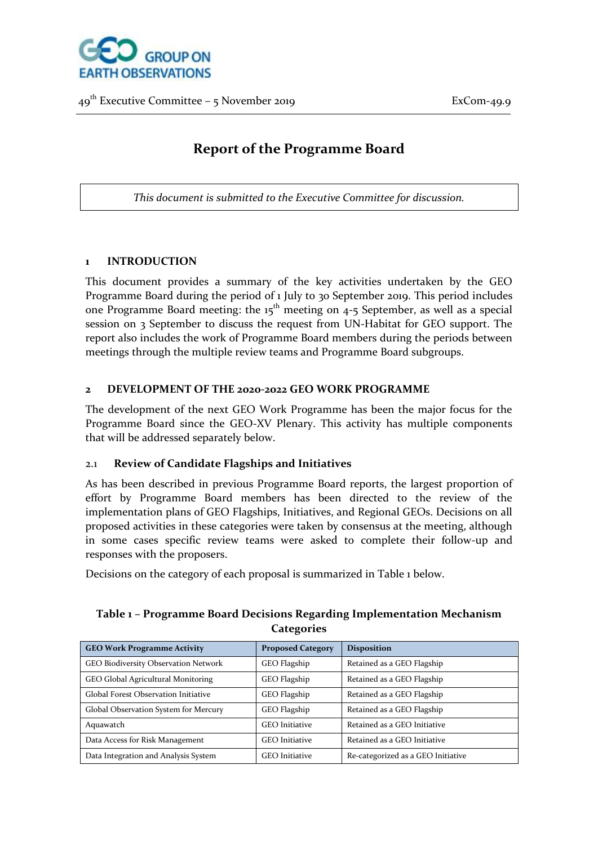

# **Report of the Programme Board**

*This document is submitted to the Executive Committee for discussion.*

#### **1 INTRODUCTION**

This document provides a summary of the key activities undertaken by the GEO Programme Board during the period of 1 July to 30 September 2019. This period includes one Programme Board meeting: the  $15<sup>th</sup>$  meeting on  $4-5$  September, as well as a special session on 3 September to discuss the request from UN-Habitat for GEO support. The report also includes the work of Programme Board members during the periods between meetings through the multiple review teams and Programme Board subgroups.

#### **2 DEVELOPMENT OF THE 2020-2022 GEO WORK PROGRAMME**

The development of the next GEO Work Programme has been the major focus for the Programme Board since the GEO-XV Plenary. This activity has multiple components that will be addressed separately below.

#### 2.1 **Review of Candidate Flagships and Initiatives**

As has been described in previous Programme Board reports, the largest proportion of effort by Programme Board members has been directed to the review of the implementation plans of GEO Flagships, Initiatives, and Regional GEOs. Decisions on all proposed activities in these categories were taken by consensus at the meeting, although in some cases specific review teams were asked to complete their follow-up and responses with the proposers.

Decisions on the category of each proposal is summarized in Table 1 below.

# GEO Work Programme Activity **Proposed Category** Disposition GEO Biodiversity Observation Network GEO Flagship Retained as a GEO Flagship GEO Global Agricultural Monitoring **GEO Flagship** Retained as a GEO Flagship Global Forest Observation Initiative GEO Flagship Retained as a GEO Flagship Global Observation System for Mercury GEO Flagship Retained as a GEO Flagship Aquawatch GEO Initiative Retained as a GEO Initiative Data Access for Risk Management GEO Initiative Retained as a GEO Initiative Data Integration and Analysis System  $\vert$  GEO Initiative  $\vert$  Re-categorized as a GEO Initiative

# **Table 1 – Programme Board Decisions Regarding Implementation Mechanism Categories**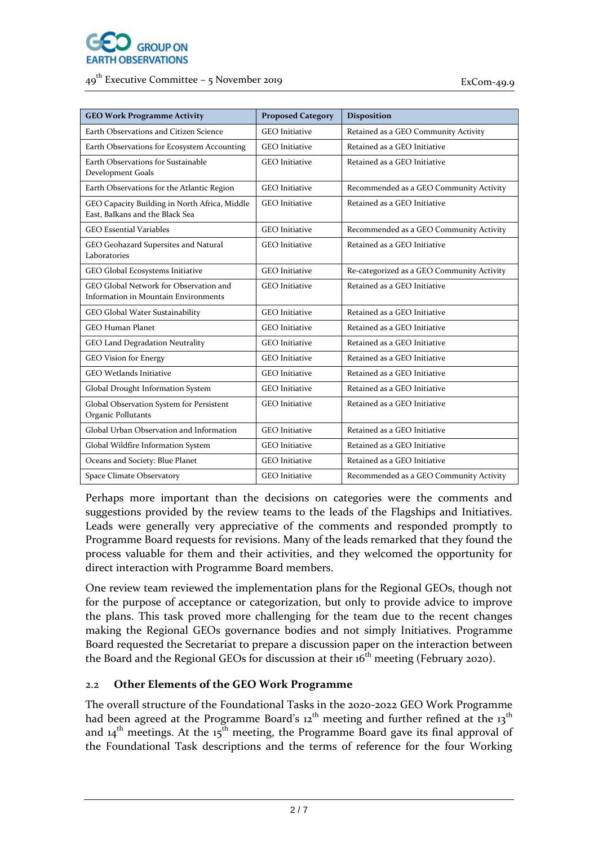

| <b>GEO Work Programme Activity</b>                                               | <b>Proposed Category</b> | <b>Disposition</b>                         |
|----------------------------------------------------------------------------------|--------------------------|--------------------------------------------|
| Earth Observations and Citizen Science                                           | <b>GEO</b> Initiative    | Retained as a GEO Community Activity       |
| Earth Observations for Ecosystem Accounting                                      | <b>GEO</b> Initiative    | Retained as a GEO Initiative               |
| Earth Observations for Sustainable<br>Development Goals                          | <b>GEO</b> Initiative    | Retained as a GEO Initiative               |
| Earth Observations for the Atlantic Region                                       | <b>GEO</b> Initiative    | Recommended as a GEO Community Activity    |
| GEO Capacity Building in North Africa, Middle<br>East, Balkans and the Black Sea | <b>GEO</b> Initiative    | Retained as a GEO Initiative               |
| <b>GEO Essential Variables</b>                                                   | <b>GEO</b> Initiative    | Recommended as a GEO Community Activity    |
| GEO Geohazard Supersites and Natural<br>Laboratories                             | <b>GEO</b> Initiative    | Retained as a GEO Initiative               |
| GEO Global Ecosystems Initiative                                                 | <b>GEO</b> Initiative    | Re-categorized as a GEO Community Activity |
| GEO Global Network for Observation and<br>Information in Mountain Environments   | <b>GEO</b> Initiative    | Retained as a GEO Initiative               |
| GEO Global Water Sustainability                                                  | <b>GEO</b> Initiative    | Retained as a GEO Initiative               |
| <b>GEO Human Planet</b>                                                          | <b>GEO</b> Initiative    | Retained as a GEO Initiative               |
| GEO Land Degradation Neutrality                                                  | <b>GEO</b> Initiative    | Retained as a GEO Initiative               |
| <b>GEO Vision for Energy</b>                                                     | <b>GEO</b> Initiative    | Retained as a GEO Initiative               |
| <b>GEO Wetlands Initiative</b>                                                   | <b>GEO</b> Initiative    | Retained as a GEO Initiative               |
| Global Drought Information System                                                | <b>GEO</b> Initiative    | Retained as a GEO Initiative               |
| Global Observation System for Persistent<br>Organic Pollutants                   | <b>GEO</b> Initiative    | Retained as a GEO Initiative               |
| Global Urban Observation and Information                                         | <b>GEO</b> Initiative    | Retained as a GEO Initiative               |
| Global Wildfire Information System                                               | <b>GEO</b> Initiative    | Retained as a GEO Initiative               |
| Oceans and Society: Blue Planet                                                  | <b>GEO</b> Initiative    | Retained as a GEO Initiative               |
| Space Climate Observatory                                                        | <b>GEO</b> Initiative    | Recommended as a GEO Community Activity    |

Perhaps more important than the decisions on categories were the comments and suggestions provided by the review teams to the leads of the Flagships and Initiatives. Leads were generally very appreciative of the comments and responded promptly to Programme Board requests for revisions. Many of the leads remarked that they found the process valuable for them and their activities, and they welcomed the opportunity for direct interaction with Programme Board members.

One review team reviewed the implementation plans for the Regional GEOs, though not for the purpose of acceptance or categorization, but only to provide advice to improve the plans. This task proved more challenging for the team due to the recent changes making the Regional GEOs governance bodies and not simply Initiatives. Programme Board requested the Secretariat to prepare a discussion paper on the interaction between the Board and the Regional GEOs for discussion at their  $16<sup>th</sup>$  meeting (February 2020).

# 2.2 **Other Elements of the GEO Work Programme**

The overall structure of the Foundational Tasks in the 2020-2022 GEO Work Programme had been agreed at the Programme Board's  $12<sup>th</sup>$  meeting and further refined at the  $13<sup>th</sup>$ and  $14<sup>th</sup>$  meetings. At the  $15<sup>th</sup>$  meeting, the Programme Board gave its final approval of the Foundational Task descriptions and the terms of reference for the four Working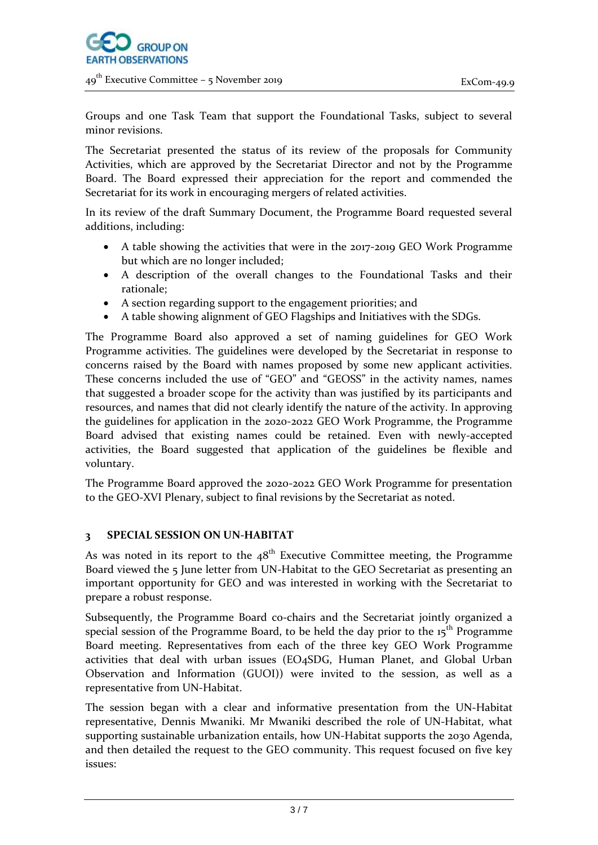

Groups and one Task Team that support the Foundational Tasks, subject to several minor revisions.

The Secretariat presented the status of its review of the proposals for Community Activities, which are approved by the Secretariat Director and not by the Programme Board. The Board expressed their appreciation for the report and commended the Secretariat for its work in encouraging mergers of related activities.

In its review of the draft Summary Document, the Programme Board requested several additions, including:

- A table showing the activities that were in the 2017-2019 GEO Work Programme but which are no longer included;
- A description of the overall changes to the Foundational Tasks and their rationale;
- A section regarding support to the engagement priorities; and
- A table showing alignment of GEO Flagships and Initiatives with the SDGs.

The Programme Board also approved a set of naming guidelines for GEO Work Programme activities. The guidelines were developed by the Secretariat in response to concerns raised by the Board with names proposed by some new applicant activities. These concerns included the use of "GEO" and "GEOSS" in the activity names, names that suggested a broader scope for the activity than was justified by its participants and resources, and names that did not clearly identify the nature of the activity. In approving the guidelines for application in the 2020-2022 GEO Work Programme, the Programme Board advised that existing names could be retained. Even with newly-accepted activities, the Board suggested that application of the guidelines be flexible and voluntary.

The Programme Board approved the 2020-2022 GEO Work Programme for presentation to the GEO-XVI Plenary, subject to final revisions by the Secretariat as noted.

# **3 SPECIAL SESSION ON UN-HABITAT**

As was noted in its report to the  $48<sup>th</sup>$  Executive Committee meeting, the Programme Board viewed the 5 June letter from UN-Habitat to the GEO Secretariat as presenting an important opportunity for GEO and was interested in working with the Secretariat to prepare a robust response.

Subsequently, the Programme Board co-chairs and the Secretariat jointly organized a special session of the Programme Board, to be held the day prior to the  $15<sup>th</sup>$  Programme Board meeting. Representatives from each of the three key GEO Work Programme activities that deal with urban issues (EO4SDG, Human Planet, and Global Urban Observation and Information (GUOI)) were invited to the session, as well as a representative from UN-Habitat.

The session began with a clear and informative presentation from the UN-Habitat representative, Dennis Mwaniki. Mr Mwaniki described the role of UN-Habitat, what supporting sustainable urbanization entails, how UN-Habitat supports the 2030 Agenda, and then detailed the request to the GEO community. This request focused on five key issues: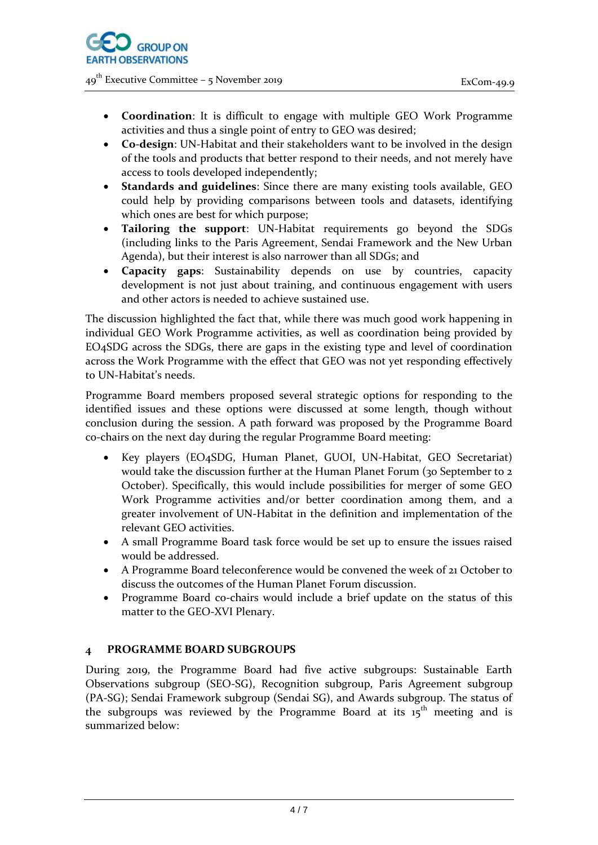

- **Coordination**: It is difficult to engage with multiple GEO Work Programme activities and thus a single point of entry to GEO was desired;
- **Co-design**: UN-Habitat and their stakeholders want to be involved in the design of the tools and products that better respond to their needs, and not merely have access to tools developed independently;
- **Standards and guidelines**: Since there are many existing tools available, GEO could help by providing comparisons between tools and datasets, identifying which ones are best for which purpose;
- **Tailoring the support**: UN-Habitat requirements go beyond the SDGs (including links to the Paris Agreement, Sendai Framework and the New Urban Agenda), but their interest is also narrower than all SDGs; and
- **Capacity gaps**: Sustainability depends on use by countries, capacity development is not just about training, and continuous engagement with users and other actors is needed to achieve sustained use.

The discussion highlighted the fact that, while there was much good work happening in individual GEO Work Programme activities, as well as coordination being provided by EO4SDG across the SDGs, there are gaps in the existing type and level of coordination across the Work Programme with the effect that GEO was not yet responding effectively to UN-Habitat's needs.

Programme Board members proposed several strategic options for responding to the identified issues and these options were discussed at some length, though without conclusion during the session. A path forward was proposed by the Programme Board co-chairs on the next day during the regular Programme Board meeting:

- Key players (EO4SDG, Human Planet, GUOI, UN-Habitat, GEO Secretariat) would take the discussion further at the Human Planet Forum (30 September to 2 October). Specifically, this would include possibilities for merger of some GEO Work Programme activities and/or better coordination among them, and a greater involvement of UN-Habitat in the definition and implementation of the relevant GEO activities.
- A small Programme Board task force would be set up to ensure the issues raised would be addressed.
- A Programme Board teleconference would be convened the week of 21 October to discuss the outcomes of the Human Planet Forum discussion.
- Programme Board co-chairs would include a brief update on the status of this matter to the GEO-XVI Plenary.

# **4 PROGRAMME BOARD SUBGROUPS**

During 2019, the Programme Board had five active subgroups: Sustainable Earth Observations subgroup (SEO-SG), Recognition subgroup, Paris Agreement subgroup (PA-SG); Sendai Framework subgroup (Sendai SG), and Awards subgroup. The status of the subgroups was reviewed by the Programme Board at its  $15<sup>th</sup>$  meeting and is summarized below: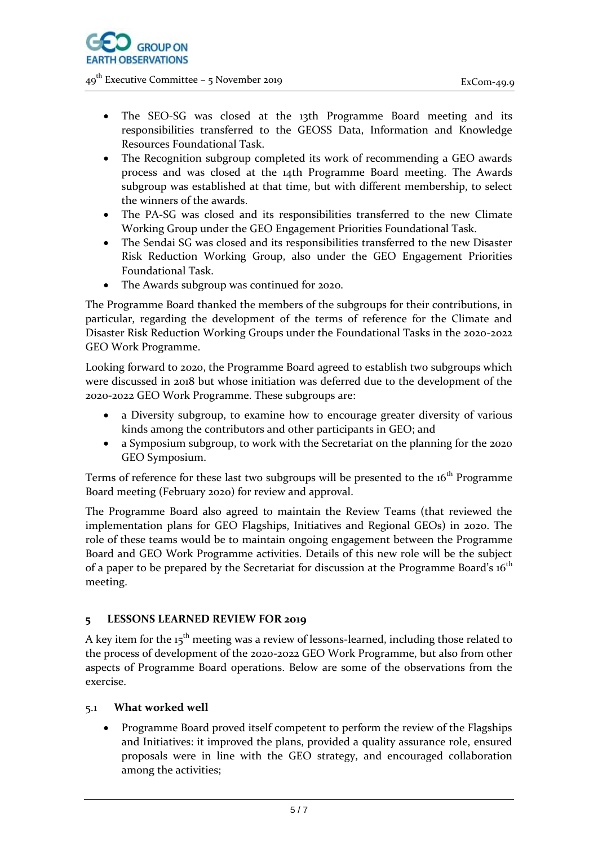

- The SEO-SG was closed at the 13th Programme Board meeting and its responsibilities transferred to the GEOSS Data, Information and Knowledge Resources Foundational Task.
- The Recognition subgroup completed its work of recommending a GEO awards process and was closed at the 14th Programme Board meeting. The Awards subgroup was established at that time, but with different membership, to select the winners of the awards.
- The PA-SG was closed and its responsibilities transferred to the new Climate Working Group under the GEO Engagement Priorities Foundational Task.
- The Sendai SG was closed and its responsibilities transferred to the new Disaster Risk Reduction Working Group, also under the GEO Engagement Priorities Foundational Task.
- The Awards subgroup was continued for 2020.

The Programme Board thanked the members of the subgroups for their contributions, in particular, regarding the development of the terms of reference for the Climate and Disaster Risk Reduction Working Groups under the Foundational Tasks in the 2020-2022 GEO Work Programme.

Looking forward to 2020, the Programme Board agreed to establish two subgroups which were discussed in 2018 but whose initiation was deferred due to the development of the 2020-2022 GEO Work Programme. These subgroups are:

- a Diversity subgroup, to examine how to encourage greater diversity of various kinds among the contributors and other participants in GEO; and
- a Symposium subgroup, to work with the Secretariat on the planning for the 2020 GEO Symposium.

Terms of reference for these last two subgroups will be presented to the  $16<sup>th</sup>$  Programme Board meeting (February 2020) for review and approval.

The Programme Board also agreed to maintain the Review Teams (that reviewed the implementation plans for GEO Flagships, Initiatives and Regional GEOs) in 2020. The role of these teams would be to maintain ongoing engagement between the Programme Board and GEO Work Programme activities. Details of this new role will be the subject of a paper to be prepared by the Secretariat for discussion at the Programme Board's  $16<sup>th</sup>$ meeting.

# **5 LESSONS LEARNED REVIEW FOR 2019**

A key item for the  $15<sup>th</sup>$  meeting was a review of lessons-learned, including those related to the process of development of the 2020-2022 GEO Work Programme, but also from other aspects of Programme Board operations. Below are some of the observations from the exercise.

# 5.1 **What worked well**

 Programme Board proved itself competent to perform the review of the Flagships and Initiatives: it improved the plans, provided a quality assurance role, ensured proposals were in line with the GEO strategy, and encouraged collaboration among the activities;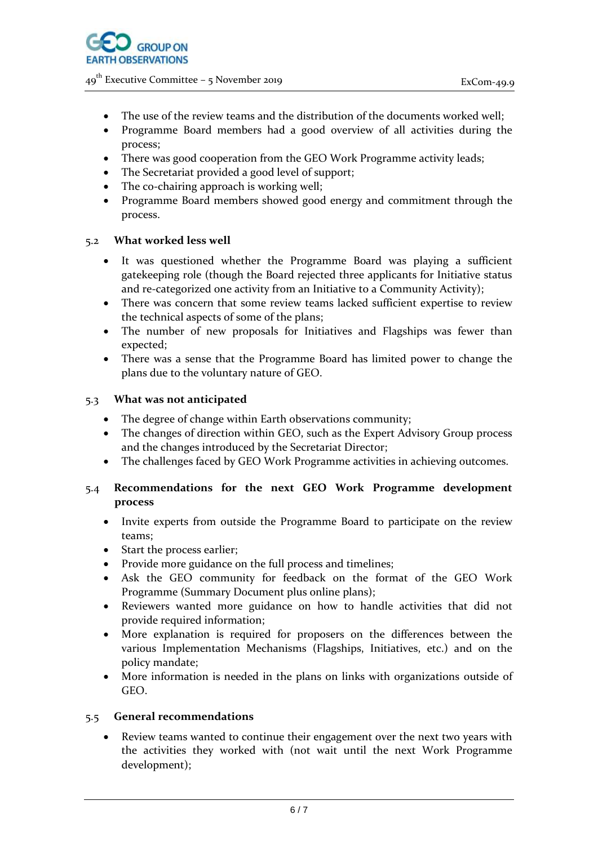

- The use of the review teams and the distribution of the documents worked well;
- Programme Board members had a good overview of all activities during the process;
- There was good cooperation from the GEO Work Programme activity leads;
- The Secretariat provided a good level of support;
- The co-chairing approach is working well;
- Programme Board members showed good energy and commitment through the process.

# 5.2 **What worked less well**

- It was questioned whether the Programme Board was playing a sufficient gatekeeping role (though the Board rejected three applicants for Initiative status and re-categorized one activity from an Initiative to a Community Activity);
- There was concern that some review teams lacked sufficient expertise to review the technical aspects of some of the plans;
- The number of new proposals for Initiatives and Flagships was fewer than expected;
- There was a sense that the Programme Board has limited power to change the plans due to the voluntary nature of GEO.

#### 5.3 **What was not anticipated**

- The degree of change within Earth observations community;
- The changes of direction within GEO, such as the Expert Advisory Group process and the changes introduced by the Secretariat Director;
- The challenges faced by GEO Work Programme activities in achieving outcomes.

# 5.4 **Recommendations for the next GEO Work Programme development process**

- Invite experts from outside the Programme Board to participate on the review teams;
- Start the process earlier;
- Provide more guidance on the full process and timelines;
- Ask the GEO community for feedback on the format of the GEO Work Programme (Summary Document plus online plans);
- Reviewers wanted more guidance on how to handle activities that did not provide required information;
- More explanation is required for proposers on the differences between the various Implementation Mechanisms (Flagships, Initiatives, etc.) and on the policy mandate;
- More information is needed in the plans on links with organizations outside of GEO.

# 5.5 **General recommendations**

 Review teams wanted to continue their engagement over the next two years with the activities they worked with (not wait until the next Work Programme development);